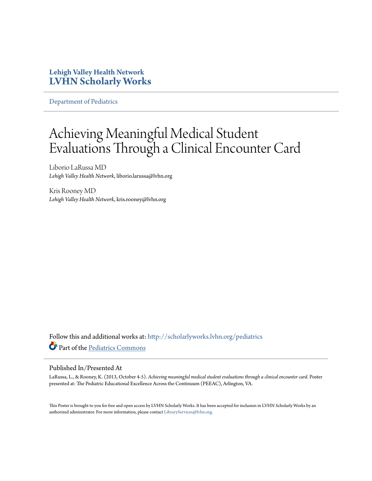### **Lehigh Valley Health Network [LVHN Scholarly Works](http://scholarlyworks.lvhn.org?utm_source=scholarlyworks.lvhn.org%2Fpediatrics%2F46&utm_medium=PDF&utm_campaign=PDFCoverPages)**

[Department of Pediatrics](http://scholarlyworks.lvhn.org/pediatrics?utm_source=scholarlyworks.lvhn.org%2Fpediatrics%2F46&utm_medium=PDF&utm_campaign=PDFCoverPages)

### Achieving Meaningful Medical Student Evaluations Through a Clinical Encounter Card

Liborio LaRussa MD *Lehigh Valley Health Network*, liborio.larussa@lvhn.org

Kris Rooney MD *Lehigh Valley Health Network*, kris.rooney@lvhn.org

Follow this and additional works at: [http://scholarlyworks.lvhn.org/pediatrics](http://scholarlyworks.lvhn.org/pediatrics?utm_source=scholarlyworks.lvhn.org%2Fpediatrics%2F46&utm_medium=PDF&utm_campaign=PDFCoverPages) Part of the [Pediatrics Commons](http://network.bepress.com/hgg/discipline/700?utm_source=scholarlyworks.lvhn.org%2Fpediatrics%2F46&utm_medium=PDF&utm_campaign=PDFCoverPages)

### Published In/Presented At

LaRussa, L., & Rooney, K. (2013, October 4-5). *Achieving meaningful medical student evaluations through a clinical encounter card*. Poster presented at: The Pediatric Educational Excellence Across the Continuum (PEEAC), Arlington, VA.

This Poster is brought to you for free and open access by LVHN Scholarly Works. It has been accepted for inclusion in LVHN Scholarly Works by an authorized administrator. For more information, please contact [LibraryServices@lvhn.org.](mailto:LibraryServices@lvhn.org)